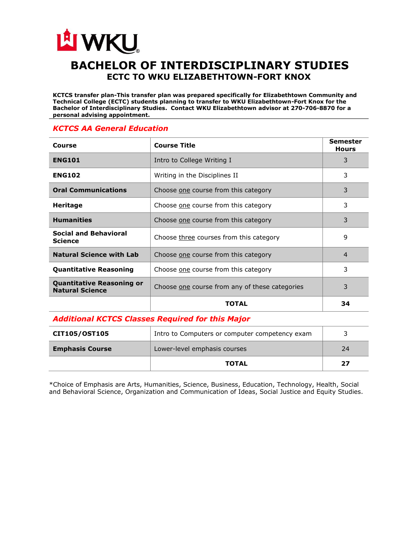## LA WKU **BACHELOR OF INTERDISCIPLINARY STUDIES ECTC TO WKU ELIZABETHTOWN-FORT KNOX**

**KCTCS transfer plan-This transfer plan was prepared specifically for Elizabethtown Community and Technical College (ECTC) students planning to transfer to WKU Elizabethtown-Fort Knox for the Bachelor of Interdisciplinary Studies. Contact WKU Elizabethtown advisor at 270-706-8870 for a personal advising appointment.** 

## *KCTCS AA General Education*

| Course                                                     | <b>Course Title</b>                            | <b>Semester</b><br><b>Hours</b> |
|------------------------------------------------------------|------------------------------------------------|---------------------------------|
| <b>ENG101</b>                                              | Intro to College Writing I                     | 3                               |
| <b>ENG102</b>                                              | Writing in the Disciplines II                  | 3                               |
| <b>Oral Communications</b>                                 | Choose one course from this category           | 3                               |
| <b>Heritage</b>                                            | Choose one course from this category           | 3                               |
| <b>Humanities</b>                                          | Choose one course from this category           | 3                               |
| <b>Social and Behavioral</b><br><b>Science</b>             | Choose three courses from this category        | 9                               |
| <b>Natural Science with Lab</b>                            | Choose one course from this category           | 4                               |
| <b>Quantitative Reasoning</b>                              | Choose one course from this category           | 3                               |
| <b>Quantitative Reasoning or</b><br><b>Natural Science</b> | Choose one course from any of these categories | 3                               |
|                                                            | TOTAL                                          | 34                              |

## *Additional KCTCS Classes Required for this Major*

| <b>CIT105/OST105</b>   | Intro to Computers or computer competency exam |    |
|------------------------|------------------------------------------------|----|
| <b>Emphasis Course</b> | Lower-level emphasis courses                   | 24 |
|                        | <b>TOTAL</b>                                   | 27 |

\*Choice of Emphasis are Arts, Humanities, Science, Business, Education, Technology, Health, Social and Behavioral Science, Organization and Communication of Ideas, Social Justice and Equity Studies.